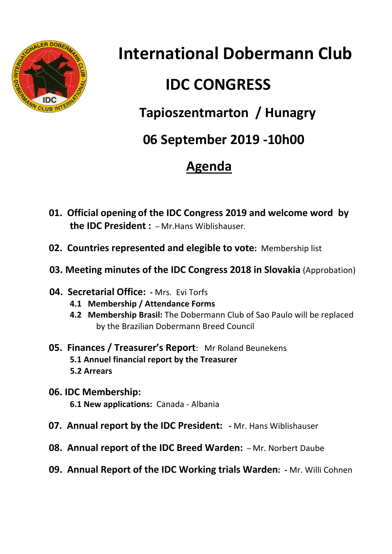

**International Dobermann Club**

# **IDC CONGRESS**

## **Tapioszentmarton / Hunagry**

 **06 September 2019 -10h00**

## **Agenda**

- **01. Official opening of the IDC Congress 2019 and welcome word by the IDC President :** – Mr.Hans Wiblishauser.
- **02. Countries represented and elegible to vote:** Membership list
- **03. Meeting minutes of the IDC Congress 2018 in Slovakia** (Approbation)
- **04. Secretarial Office: -** Mrs. Evi Torfs
	- **4.1 Membership / Attendance Forms**
	- **4.2 Membership Brasil:** The Dobermann Club of Sao Paulo will be replaced by the Brazilian Dobermann Breed Council
- **05. Finances / Treasurer's Report**: Mr Roland Beunekens **5.1 Annuel financial report by the Treasurer 5.2 Arrears**
- **06. IDC Membership: 6.1 New applications:** Canada - Albania
- **07. Annual report by the IDC President: -** Mr. Hans Wiblishauser
- **08. Annual report of the IDC Breed Warden:** Mr. Norbert Daube
- **09. Annual Report of the IDC Working trials Warden: -** Mr. Willi Cohnen